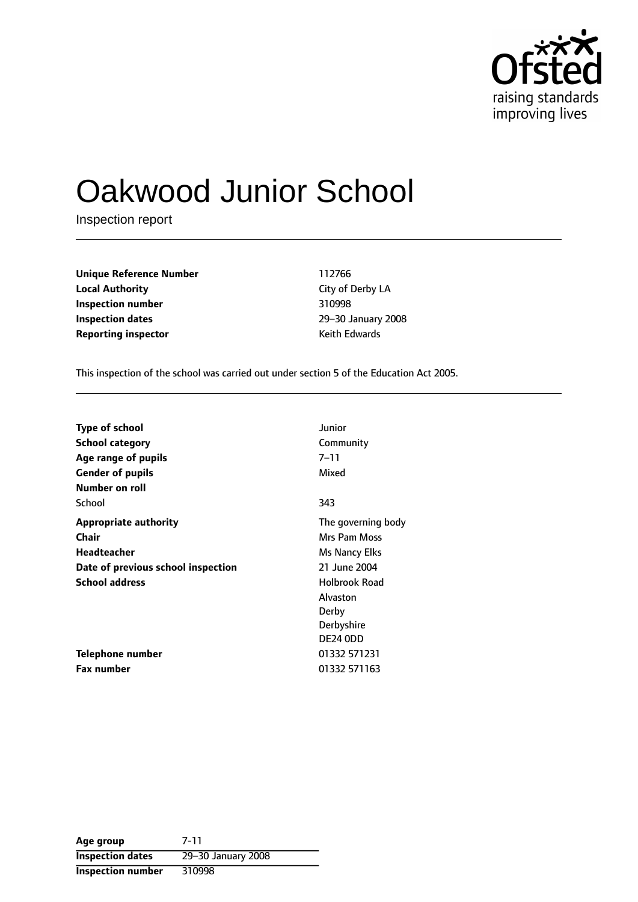

# Oakwood Junior School

Inspection report

**Unique Reference Number** 112766 **Local Authority** City of Derby LA **Inspection number** 310998 **Inspection dates** 29-30 January 2008 **Reporting inspector CONFIDENTIAL REPORTING KEET AT A REPORT OF A REPORT OF A REPORT OF A REPORT OF A REPORT OF A REPORT OF A REPORT OF A REPORT OF A REPORT OF A REPORT OF A REPORT OF A REPORT OF A REPORT OF A REPORT OF** 

This inspection of the school was carried out under section 5 of the Education Act 2005.

| <b>Type of school</b>              | Junior               |
|------------------------------------|----------------------|
| <b>School category</b>             | Community            |
| Age range of pupils                | 7–11                 |
| <b>Gender of pupils</b>            | Mixed                |
| Number on roll                     |                      |
| School                             | 343                  |
| <b>Appropriate authority</b>       | The governing body   |
| Chair                              | Mrs Pam Moss         |
| <b>Headteacher</b>                 | Ms Nancy Elks        |
| Date of previous school inspection | 21 June 2004         |
| <b>School address</b>              | <b>Holbrook Road</b> |
|                                    | Alvaston             |
|                                    | Derby                |
|                                    | Derbyshire           |
|                                    | DE24 ODD             |
| Telephone number                   | 01332 571231         |
| <b>Fax number</b>                  | 01332 571163         |

**Age group** 7-11 **Inspection dates** 29-30 January 2008 **Inspection number** 310998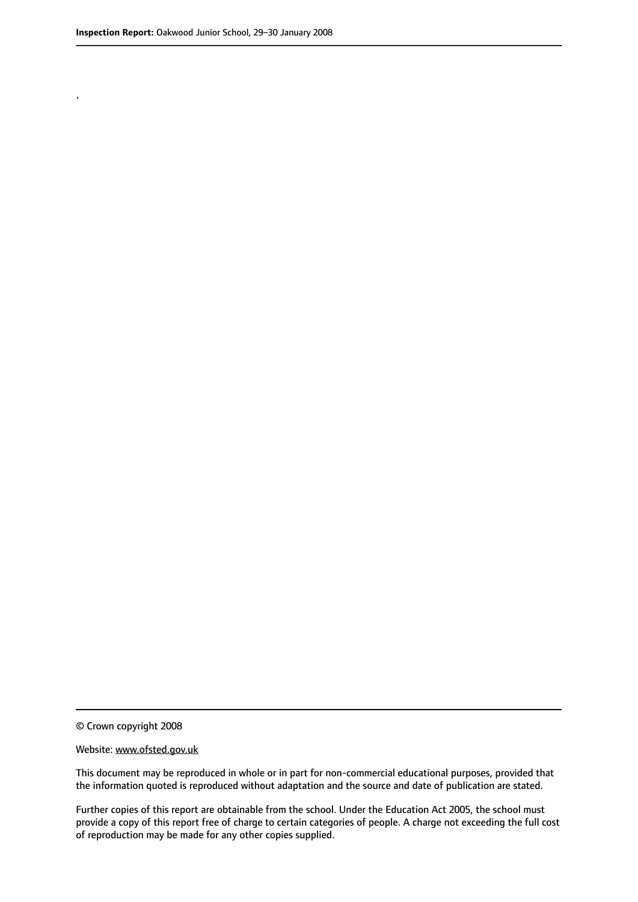.

© Crown copyright 2008

#### Website: www.ofsted.gov.uk

This document may be reproduced in whole or in part for non-commercial educational purposes, provided that the information quoted is reproduced without adaptation and the source and date of publication are stated.

Further copies of this report are obtainable from the school. Under the Education Act 2005, the school must provide a copy of this report free of charge to certain categories of people. A charge not exceeding the full cost of reproduction may be made for any other copies supplied.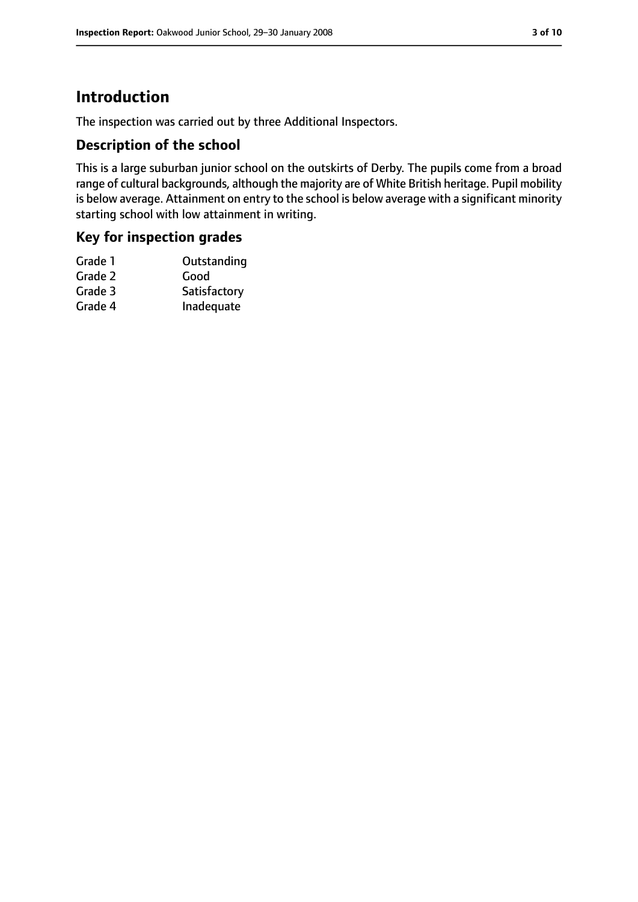### **Introduction**

The inspection was carried out by three Additional Inspectors.

#### **Description of the school**

This is a large suburban junior school on the outskirts of Derby. The pupils come from a broad range of cultural backgrounds, although the majority are of White British heritage. Pupil mobility is below average. Attainment on entry to the school is below average with a significant minority starting school with low attainment in writing.

#### **Key for inspection grades**

| Grade 1 | Outstanding  |
|---------|--------------|
| Grade 2 | Good         |
| Grade 3 | Satisfactory |
| Grade 4 | Inadequate   |
|         |              |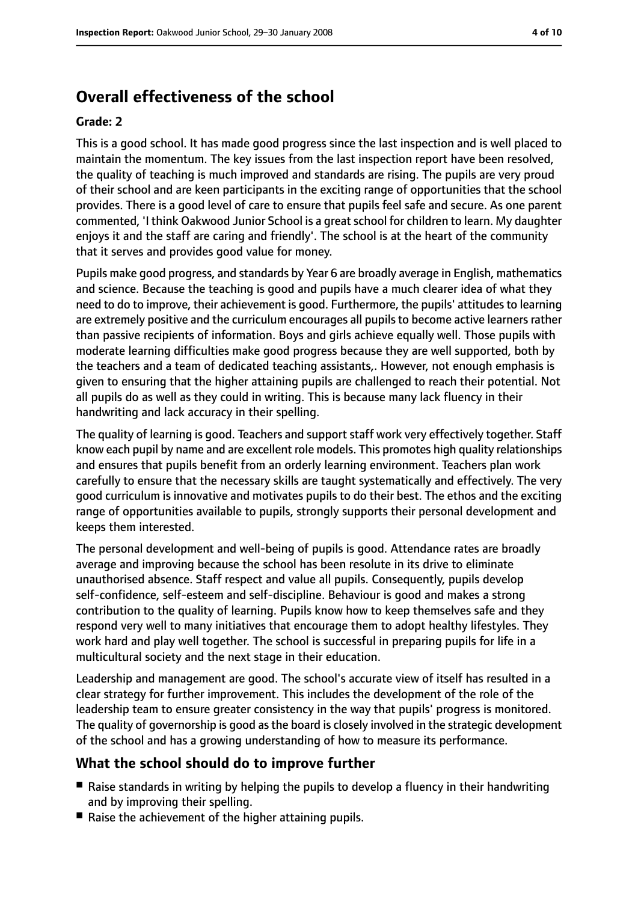### **Overall effectiveness of the school**

#### **Grade: 2**

This is a good school. It has made good progress since the last inspection and is well placed to maintain the momentum. The key issues from the last inspection report have been resolved, the quality of teaching is much improved and standards are rising. The pupils are very proud of their school and are keen participants in the exciting range of opportunities that the school provides. There is a good level of care to ensure that pupils feel safe and secure. As one parent commented, 'I think Oakwood Junior School is a great school for children to learn. My daughter enjoys it and the staff are caring and friendly'. The school is at the heart of the community that it serves and provides good value for money.

Pupils make good progress, and standards by Year 6 are broadly average in English, mathematics and science. Because the teaching is good and pupils have a much clearer idea of what they need to do to improve, their achievement is good. Furthermore, the pupils' attitudes to learning are extremely positive and the curriculum encourages all pupils to become active learners rather than passive recipients of information. Boys and girls achieve equally well. Those pupils with moderate learning difficulties make good progress because they are well supported, both by the teachers and a team of dedicated teaching assistants,. However, not enough emphasis is given to ensuring that the higher attaining pupils are challenged to reach their potential. Not all pupils do as well as they could in writing. This is because many lack fluency in their handwriting and lack accuracy in their spelling.

The quality of learning is good. Teachers and support staff work very effectively together. Staff know each pupil by name and are excellent role models. This promotes high quality relationships and ensures that pupils benefit from an orderly learning environment. Teachers plan work carefully to ensure that the necessary skills are taught systematically and effectively. The very good curriculum is innovative and motivates pupils to do their best. The ethos and the exciting range of opportunities available to pupils, strongly supports their personal development and keeps them interested.

The personal development and well-being of pupils is good. Attendance rates are broadly average and improving because the school has been resolute in its drive to eliminate unauthorised absence. Staff respect and value all pupils. Consequently, pupils develop self-confidence, self-esteem and self-discipline. Behaviour is good and makes a strong contribution to the quality of learning. Pupils know how to keep themselves safe and they respond very well to many initiatives that encourage them to adopt healthy lifestyles. They work hard and play well together. The school is successful in preparing pupils for life in a multicultural society and the next stage in their education.

Leadership and management are good. The school's accurate view of itself has resulted in a clear strategy for further improvement. This includes the development of the role of the leadership team to ensure greater consistency in the way that pupils' progress is monitored. The quality of governorship is good asthe board is closely involved in the strategic development of the school and has a growing understanding of how to measure its performance.

#### **What the school should do to improve further**

- Raise standards in writing by helping the pupils to develop a fluency in their handwriting and by improving their spelling.
- Raise the achievement of the higher attaining pupils.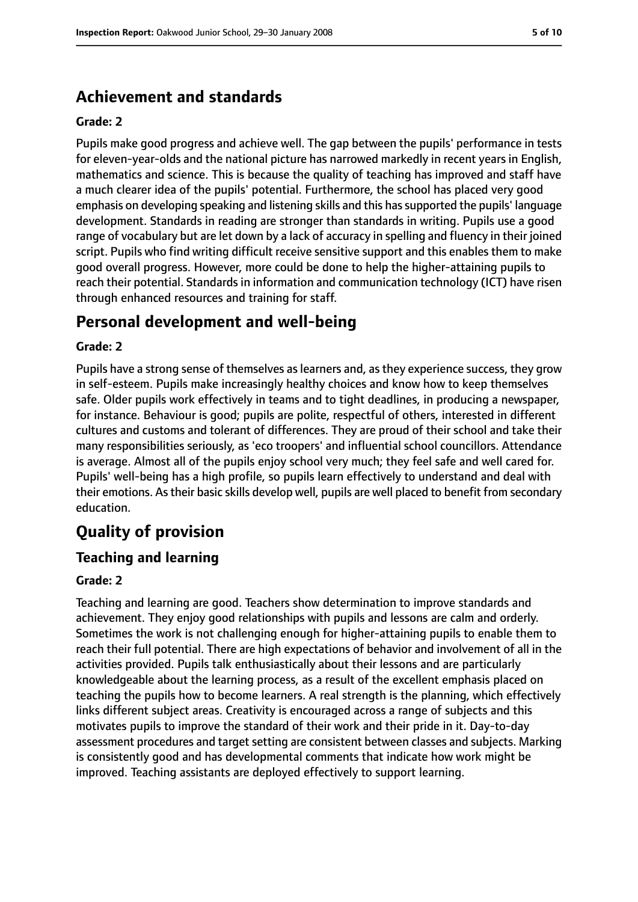### **Achievement and standards**

#### **Grade: 2**

Pupils make good progress and achieve well. The gap between the pupils' performance in tests for eleven-year-olds and the national picture has narrowed markedly in recent years in English, mathematics and science. This is because the quality of teaching has improved and staff have a much clearer idea of the pupils' potential. Furthermore, the school has placed very good emphasis on developing speaking and listening skills and this hassupported the pupils' language development. Standards in reading are stronger than standards in writing. Pupils use a good range of vocabulary but are let down by a lack of accuracy in spelling and fluency in their joined script. Pupils who find writing difficult receive sensitive support and this enables them to make good overall progress. However, more could be done to help the higher-attaining pupils to reach their potential. Standards in information and communication technology (ICT) have risen through enhanced resources and training for staff.

### **Personal development and well-being**

#### **Grade: 2**

Pupils have a strong sense of themselves as learners and, as they experience success, they grow in self-esteem. Pupils make increasingly healthy choices and know how to keep themselves safe. Older pupils work effectively in teams and to tight deadlines, in producing a newspaper, for instance. Behaviour is good; pupils are polite, respectful of others, interested in different cultures and customs and tolerant of differences. They are proud of their school and take their many responsibilities seriously, as 'eco troopers' and influential school councillors. Attendance is average. Almost all of the pupils enjoy school very much; they feel safe and well cared for. Pupils' well-being has a high profile, so pupils learn effectively to understand and deal with their emotions. Astheir basic skills develop well, pupils are well placed to benefit from secondary education.

## **Quality of provision**

#### **Teaching and learning**

#### **Grade: 2**

Teaching and learning are good. Teachers show determination to improve standards and achievement. They enjoy good relationships with pupils and lessons are calm and orderly. Sometimes the work is not challenging enough for higher-attaining pupils to enable them to reach their full potential. There are high expectations of behavior and involvement of all in the activities provided. Pupils talk enthusiastically about their lessons and are particularly knowledgeable about the learning process, as a result of the excellent emphasis placed on teaching the pupils how to become learners. A real strength is the planning, which effectively links different subject areas. Creativity is encouraged across a range of subjects and this motivates pupils to improve the standard of their work and their pride in it. Day-to-day assessment procedures and target setting are consistent between classes and subjects. Marking is consistently good and has developmental comments that indicate how work might be improved. Teaching assistants are deployed effectively to support learning.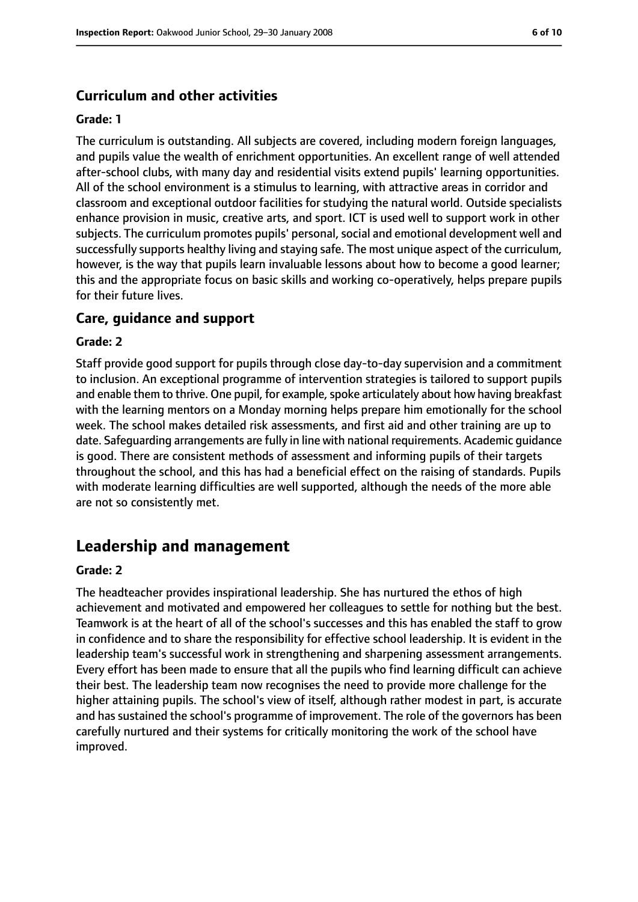#### **Curriculum and other activities**

#### **Grade: 1**

The curriculum is outstanding. All subjects are covered, including modern foreign languages, and pupils value the wealth of enrichment opportunities. An excellent range of well attended after-school clubs, with many day and residential visits extend pupils' learning opportunities. All of the school environment is a stimulus to learning, with attractive areas in corridor and classroom and exceptional outdoor facilities for studying the natural world. Outside specialists enhance provision in music, creative arts, and sport. ICT is used well to support work in other subjects. The curriculum promotes pupils' personal, social and emotional development well and successfully supports healthy living and staying safe. The most unique aspect of the curriculum, however, is the way that pupils learn invaluable lessons about how to become a good learner; this and the appropriate focus on basic skills and working co-operatively, helps prepare pupils for their future lives.

#### **Care, guidance and support**

#### **Grade: 2**

Staff provide good support for pupils through close day-to-day supervision and a commitment to inclusion. An exceptional programme of intervention strategies is tailored to support pupils and enable them to thrive. One pupil, for example, spoke articulately about how having breakfast with the learning mentors on a Monday morning helps prepare him emotionally for the school week. The school makes detailed risk assessments, and first aid and other training are up to date. Safeguarding arrangements are fully in line with national requirements. Academic guidance is good. There are consistent methods of assessment and informing pupils of their targets throughout the school, and this has had a beneficial effect on the raising of standards. Pupils with moderate learning difficulties are well supported, although the needs of the more able are not so consistently met.

### **Leadership and management**

#### **Grade: 2**

The headteacher provides inspirational leadership. She has nurtured the ethos of high achievement and motivated and empowered her colleagues to settle for nothing but the best. Teamwork is at the heart of all of the school's successes and this has enabled the staff to grow in confidence and to share the responsibility for effective school leadership. It is evident in the leadership team's successful work in strengthening and sharpening assessment arrangements. Every effort has been made to ensure that all the pupils who find learning difficult can achieve their best. The leadership team now recognises the need to provide more challenge for the higher attaining pupils. The school's view of itself, although rather modest in part, is accurate and has sustained the school's programme of improvement. The role of the governors has been carefully nurtured and their systems for critically monitoring the work of the school have improved.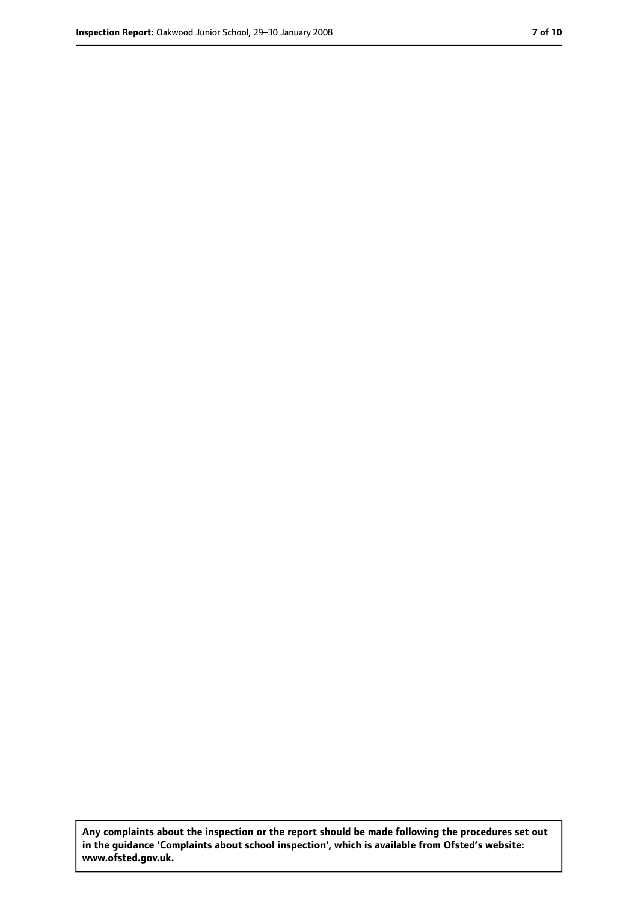**Any complaints about the inspection or the report should be made following the procedures set out in the guidance 'Complaints about school inspection', which is available from Ofsted's website: www.ofsted.gov.uk.**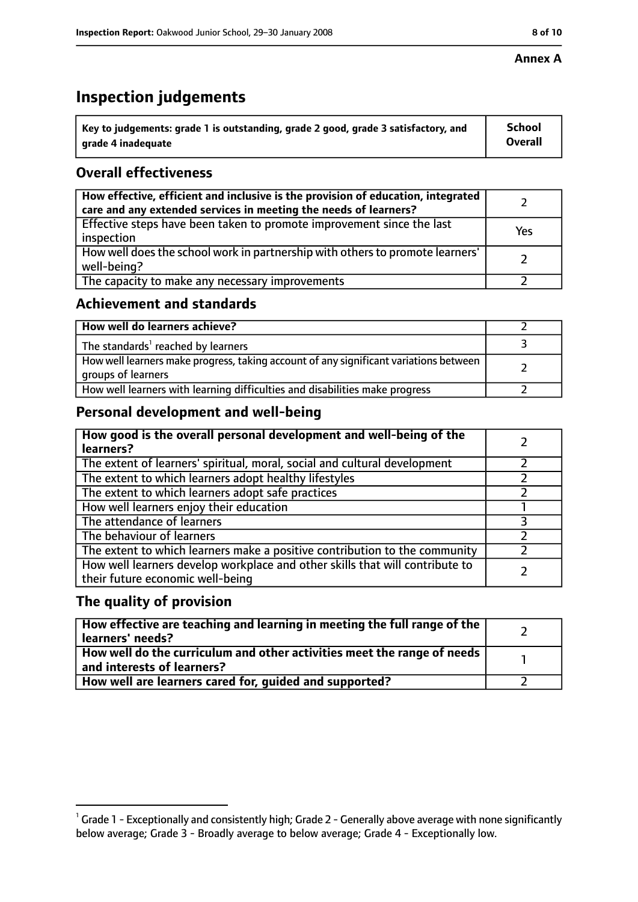#### **Annex A**

### **Inspection judgements**

| Key to judgements: grade 1 is outstanding, grade 2 good, grade 3 satisfactory, and | <b>School</b>  |
|------------------------------------------------------------------------------------|----------------|
| grade 4 inadequate                                                                 | <b>Overall</b> |

### **Overall effectiveness**

| How effective, efficient and inclusive is the provision of education, integrated<br>care and any extended services in meeting the needs of learners? |     |
|------------------------------------------------------------------------------------------------------------------------------------------------------|-----|
| Effective steps have been taken to promote improvement since the last<br>inspection                                                                  | Yes |
| How well does the school work in partnership with others to promote learners'<br>well-being?                                                         |     |
| The capacity to make any necessary improvements                                                                                                      |     |

### **Achievement and standards**

| How well do learners achieve?                                                                               |  |
|-------------------------------------------------------------------------------------------------------------|--|
| The standards <sup>1</sup> reached by learners                                                              |  |
| How well learners make progress, taking account of any significant variations between<br>groups of learners |  |
| How well learners with learning difficulties and disabilities make progress                                 |  |

### **Personal development and well-being**

| How good is the overall personal development and well-being of the<br>learners?                                  |  |
|------------------------------------------------------------------------------------------------------------------|--|
| The extent of learners' spiritual, moral, social and cultural development                                        |  |
| The extent to which learners adopt healthy lifestyles                                                            |  |
| The extent to which learners adopt safe practices                                                                |  |
| How well learners enjoy their education                                                                          |  |
| The attendance of learners                                                                                       |  |
| The behaviour of learners                                                                                        |  |
| The extent to which learners make a positive contribution to the community                                       |  |
| How well learners develop workplace and other skills that will contribute to<br>their future economic well-being |  |

### **The quality of provision**

| $\mid$ How effective are teaching and learning in meeting the full range of the $\mid$<br>learners' needs? |  |
|------------------------------------------------------------------------------------------------------------|--|
| How well do the curriculum and other activities meet the range of needs  <br>and interests of learners?    |  |
| How well are learners cared for, guided and supported?                                                     |  |

 $^1$  Grade 1 - Exceptionally and consistently high; Grade 2 - Generally above average with none significantly below average; Grade 3 - Broadly average to below average; Grade 4 - Exceptionally low.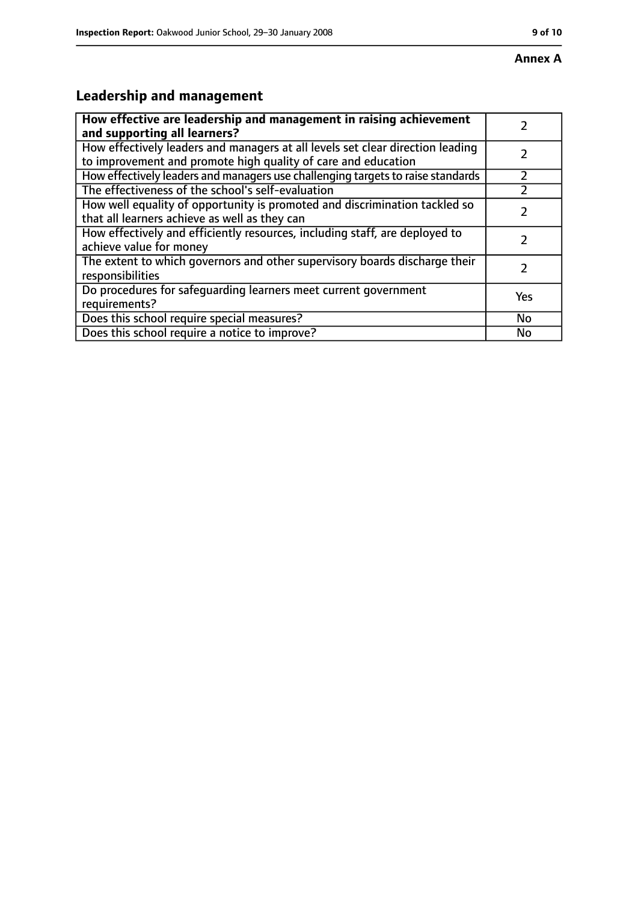## **Leadership and management**

| How effective are leadership and management in raising achievement<br>and supporting all learners?                                              |           |
|-------------------------------------------------------------------------------------------------------------------------------------------------|-----------|
| How effectively leaders and managers at all levels set clear direction leading<br>to improvement and promote high quality of care and education |           |
| How effectively leaders and managers use challenging targets to raise standards                                                                 |           |
| The effectiveness of the school's self-evaluation                                                                                               |           |
| How well equality of opportunity is promoted and discrimination tackled so<br>that all learners achieve as well as they can                     |           |
| How effectively and efficiently resources, including staff, are deployed to<br>achieve value for money                                          |           |
| The extent to which governors and other supervisory boards discharge their<br>responsibilities                                                  |           |
| Do procedures for safequarding learners meet current government<br>requirements?                                                                | Yes       |
| Does this school require special measures?                                                                                                      | <b>No</b> |
| Does this school require a notice to improve?                                                                                                   | No        |